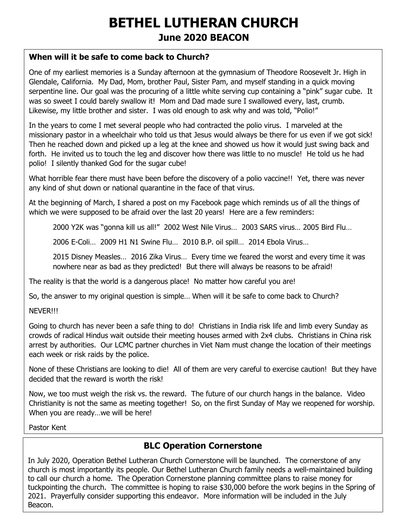# **BETHEL LUTHERAN CHURCH June 2020 BEACON**

#### **When will it be safe to come back to Church?**

One of my earliest memories is a Sunday afternoon at the gymnasium of Theodore Roosevelt Jr. High in Glendale, California. My Dad, Mom, brother Paul, Sister Pam, and myself standing in a quick moving serpentine line. Our goal was the procuring of a little white serving cup containing a "pink" sugar cube. It was so sweet I could barely swallow it! Mom and Dad made sure I swallowed every, last, crumb. Likewise, my little brother and sister. I was old enough to ask why and was told, "Polio!"

In the years to come I met several people who had contracted the polio virus. I marveled at the missionary pastor in a wheelchair who told us that Jesus would always be there for us even if we got sick! Then he reached down and picked up a leg at the knee and showed us how it would just swing back and forth. He invited us to touch the leg and discover how there was little to no muscle! He told us he had polio! I silently thanked God for the sugar cube!

What horrible fear there must have been before the discovery of a polio vaccine!! Yet, there was never any kind of shut down or national quarantine in the face of that virus.

At the beginning of March, I shared a post on my Facebook page which reminds us of all the things of which we were supposed to be afraid over the last 20 years! Here are a few reminders:

2000 Y2K was "gonna kill us all!" 2002 West Nile Virus… 2003 SARS virus… 2005 Bird Flu…

2006 E-Coli… 2009 H1 N1 Swine Flu… 2010 B.P. oil spill… 2014 Ebola Virus…

2015 Disney Measles… 2016 Zika Virus… Every time we feared the worst and every time it was nowhere near as bad as they predicted! But there will always be reasons to be afraid!

The reality is that the world is a dangerous place! No matter how careful you are!

So, the answer to my original question is simple… When will it be safe to come back to Church?

NEVER!!!

Going to church has never been a safe thing to do! Christians in India risk life and limb every Sunday as crowds of radical Hindus wait outside their meeting houses armed with 2x4 clubs. Christians in China risk arrest by authorities. Our LCMC partner churches in Viet Nam must change the location of their meetings each week or risk raids by the police.

None of these Christians are looking to die! All of them are very careful to exercise caution! But they have decided that the reward is worth the risk!

Now, we too must weigh the risk vs. the reward. The future of our church hangs in the balance. Video Christianity is not the same as meeting together! So, on the first Sunday of May we reopened for worship. When you are ready...we will be here!

Pastor Kent

#### **BLC Operation Cornerstone**

In July 2020, Operation Bethel Lutheran Church Cornerstone will be launched. The cornerstone of any church is most importantly its people. Our Bethel Lutheran Church family needs a well-maintained building to call our church a home. The Operation Cornerstone planning committee plans to raise money for tuckpointing the church. The committee is hoping to raise \$30,000 before the work begins in the Spring of 2021. Prayerfully consider supporting this endeavor. More information will be included in the July Beacon.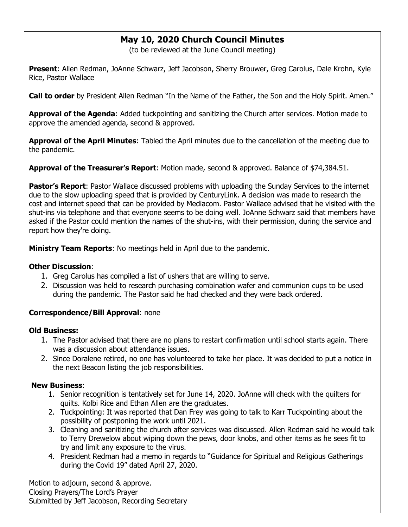### **May 10, 2020 Church Council Minutes**

(to be reviewed at the June Council meeting)

**Present**: Allen Redman, JoAnne Schwarz, Jeff Jacobson, Sherry Brouwer, Greg Carolus, Dale Krohn, Kyle Rice, Pastor Wallace

**Call to order** by President Allen Redman "In the Name of the Father, the Son and the Holy Spirit. Amen."

**Approval of the Agenda**: Added tuckpointing and sanitizing the Church after services. Motion made to approve the amended agenda, second & approved.

**Approval of the April Minutes**: Tabled the April minutes due to the cancellation of the meeting due to the pandemic.

**Approval of the Treasurer's Report**: Motion made, second & approved. Balance of \$74,384.51.

**Pastor's Report**: Pastor Wallace discussed problems with uploading the Sunday Services to the internet due to the slow uploading speed that is provided by CenturyLink. A decision was made to research the cost and internet speed that can be provided by Mediacom. Pastor Wallace advised that he visited with the shut-ins via telephone and that everyone seems to be doing well. JoAnne Schwarz said that members have asked if the Pastor could mention the names of the shut-ins, with their permission, during the service and report how they're doing.

**Ministry Team Reports**: No meetings held in April due to the pandemic.

#### **Other Discussion**:

- 1. Greg Carolus has compiled a list of ushers that are willing to serve.
- 2. Discussion was held to research purchasing combination wafer and communion cups to be used during the pandemic. The Pastor said he had checked and they were back ordered.

#### **Correspondence/Bill Approval**: none

#### **Old Business:**

- 1. The Pastor advised that there are no plans to restart confirmation until school starts again. There was a discussion about attendance issues.
- 2. Since Doralene retired, no one has volunteered to take her place. It was decided to put a notice in the next Beacon listing the job responsibilities.

#### **New Business**:

- 1. Senior recognition is tentatively set for June 14, 2020. JoAnne will check with the quilters for quilts. Kolbi Rice and Ethan Allen are the graduates.
- 2. Tuckpointing: It was reported that Dan Frey was going to talk to Karr Tuckpointing about the possibility of postponing the work until 2021.
- 3. Cleaning and sanitizing the church after services was discussed. Allen Redman said he would talk to Terry Drewelow about wiping down the pews, door knobs, and other items as he sees fit to try and limit any exposure to the virus.
- 4. President Redman had a memo in regards to "Guidance for Spiritual and Religious Gatherings during the Covid 19" dated April 27, 2020.

Motion to adjourn, second & approve. Closing Prayers/The Lord's Prayer Submitted by Jeff Jacobson, Recording Secretary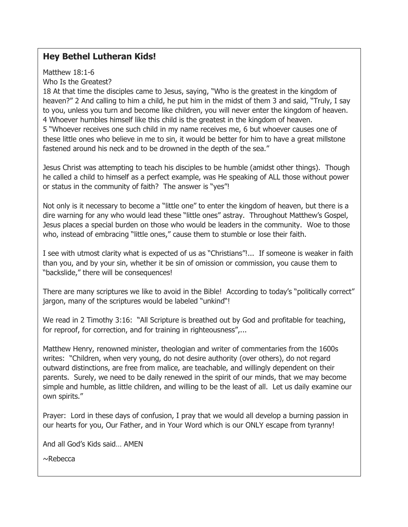### **Hey Bethel Lutheran Kids!**

Matthew 18:1-6 Who Is the Greatest?

18 At that time the disciples came to Jesus, saying, "Who is the greatest in the kingdom of heaven?" 2 And calling to him a child, he put him in the midst of them 3 and said, "Truly, I say to you, unless you turn and become like children, you will never enter the kingdom of heaven. 4 Whoever humbles himself like this child is the greatest in the kingdom of heaven. 5 "Whoever receives one such child in my name receives me, 6 but whoever causes one of these little ones who believe in me to sin, it would be better for him to have a great millstone fastened around his neck and to be drowned in the depth of the sea."

Jesus Christ was attempting to teach his disciples to be humble (amidst other things). Though he called a child to himself as a perfect example, was He speaking of ALL those without power or status in the community of faith? The answer is "yes"!

Not only is it necessary to become a "little one" to enter the kingdom of heaven, but there is a dire warning for any who would lead these "little ones" astray. Throughout Matthew's Gospel, Jesus places a special burden on those who would be leaders in the community. Woe to those who, instead of embracing "little ones," cause them to stumble or lose their faith.

I see with utmost clarity what is expected of us as "Christians"!... If someone is weaker in faith than you, and by your sin, whether it be sin of omission or commission, you cause them to "backslide," there will be consequences!

There are many scriptures we like to avoid in the Bible! According to today's "politically correct" jargon, many of the scriptures would be labeled "unkind"!

We read in 2 Timothy 3:16: "All Scripture is breathed out by God and profitable for teaching, for reproof, for correction, and for training in righteousness",...

Matthew Henry, renowned minister, theologian and writer of commentaries from the 1600s writes: "Children, when very young, do not desire authority (over others), do not regard outward distinctions, are free from malice, are teachable, and willingly dependent on their parents. Surely, we need to be daily renewed in the spirit of our minds, that we may become simple and humble, as little children, and willing to be the least of all. Let us daily examine our own spirits."

Prayer: Lord in these days of confusion, I pray that we would all develop a burning passion in our hearts for you, Our Father, and in Your Word which is our ONLY escape from tyranny!

And all God's Kids said… AMEN

 $\sim$ Rebecca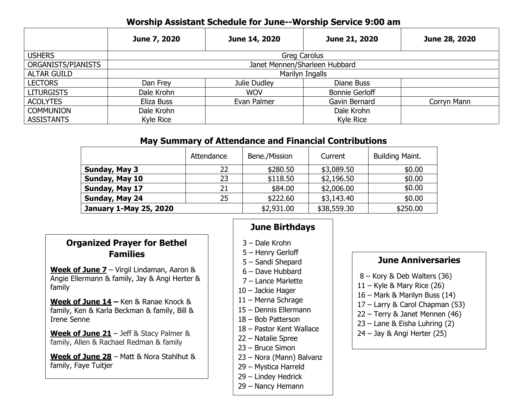### **Worship Assistant Schedule for June--Worship Service 9:00 am**

|                    | June 7, 2020                  | June 14, 2020 | June 21, 2020         | June 28, 2020 |  |  |  |
|--------------------|-------------------------------|---------------|-----------------------|---------------|--|--|--|
| <b>USHERS</b>      | Greg Carolus                  |               |                       |               |  |  |  |
| ORGANISTS/PIANISTS | Janet Mennen/Sharleen Hubbard |               |                       |               |  |  |  |
| <b>ALTAR GUILD</b> | Marilyn Ingalls               |               |                       |               |  |  |  |
| <b>LECTORS</b>     | Dan Frey                      | Julie Dudley  | Diane Buss            |               |  |  |  |
| <b>LITURGISTS</b>  | Dale Krohn                    | <b>WOV</b>    | <b>Bonnie Gerloff</b> |               |  |  |  |
| <b>ACOLYTES</b>    | Eliza Buss                    | Evan Palmer   | Gavin Bernard         | Corryn Mann   |  |  |  |
| <b>COMMUNION</b>   | Dale Krohn                    |               | Dale Krohn            |               |  |  |  |
| <b>ASSISTANTS</b>  | Kyle Rice                     |               | Kyle Rice             |               |  |  |  |

#### **May Summary of Attendance and Financial Contributions**

|                               | Attendance | Bene./Mission | Current     | Building Maint. |
|-------------------------------|------------|---------------|-------------|-----------------|
| Sunday, May 3                 | 22         | \$280.50      | \$3,089.50  | \$0.00          |
| Sunday, May 10                | 23         | \$118.50      | \$2,196.50  | \$0.00          |
| Sunday, May 17                | 21         | \$84.00       | \$2,006.00  | \$0.00          |
| Sunday, May 24                | 25         | \$222.60      | \$3,143.40  | \$0.00          |
| <b>January 1-May 25, 2020</b> |            | \$2,931.00    | \$38,559.30 | \$250.00        |

### **Organized Prayer for Bethel Families**

**Week of June 7** – Virgil Lindaman, Aaron & Angie Ellermann & family, Jay & Angi Herter & family

**Week of June 14 –** Ken & Ranae Knock & family, Ken & Karla Beckman & family, Bill & Irene Senne

**Week of June 21** – Jeff & Stacy Palmer & family, Allen & Rachael Redman & family

**Week of June 28** – Matt & Nora Stahlhut & family, Faye Tuitjer

## **June Birthdays**

- 3 Dale Krohn
- 5 Henry Gerloff
- 5 Sandi Shepard
- 6 Dave Hubbard
- 7 Lance Marlette
- 10 Jackie Hager
- 11 Merna Schrage
- 15 Dennis Ellermann
- 18 Bob Patterson
- 18 Pastor Kent Wallace
- 22 Natalie Spree
- 23 Bruce Simon
- 23 Nora (Mann) Balvanz
- 29 Mystica Harreld
- 29 Lindey Hedrick
- 29 Nancy Hemann

### **June Anniversaries**

- 8 Kory & Deb Walters (36)
- $11 -$  Kyle & Mary Rice (26)
- 16 Mark & Marilyn Buss (14)
- 17 Larry & Carol Chapman (53)
- 22 Terry & Janet Mennen (46)
- 23 Lane & Eisha Luhring (2)
- 24 Jay & Angi Herter (25)